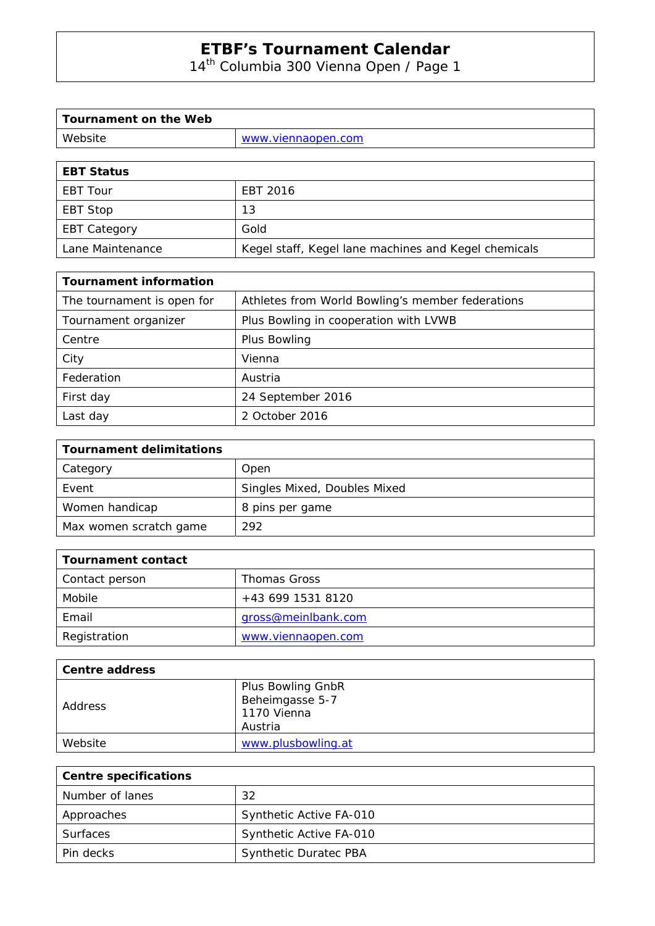14<sup>th</sup> Columbia 300 Vienna Open / Page 1

| Website<br>www.viennaopen.com |  |
|-------------------------------|--|

| <b>EBT Status</b>   |                                                      |
|---------------------|------------------------------------------------------|
| <b>EBT Tour</b>     | EBT 2016                                             |
| EBT Stop            | 13                                                   |
| <b>EBT Category</b> | Gold                                                 |
| Lane Maintenance    | Kegel staff, Kegel lane machines and Kegel chemicals |

| <b>Tournament information</b> |                                                  |  |  |
|-------------------------------|--------------------------------------------------|--|--|
| The tournament is open for    | Athletes from World Bowling's member federations |  |  |
| Tournament organizer          | Plus Bowling in cooperation with LVWB            |  |  |
| Centre                        | Plus Bowling                                     |  |  |
| City                          | Vienna                                           |  |  |
| Federation                    | Austria                                          |  |  |
| First day                     | 24 September 2016                                |  |  |
| Last day                      | 2 October 2016                                   |  |  |

| <b>Tournament delimitations</b> |                              |
|---------------------------------|------------------------------|
| Category                        | Open                         |
| Event                           | Singles Mixed, Doubles Mixed |
| Women handicap                  | 8 pins per game              |
| Max women scratch game          | 292                          |

| Tournament contact |                     |
|--------------------|---------------------|
| Contact person     | <b>Thomas Gross</b> |
| Mobile             | +43 699 1531 8120   |
| Email              | gross@meinlbank.com |
| Registration       | www.viennaopen.com  |

| <b>Centre address</b> |                    |
|-----------------------|--------------------|
|                       | Plus Bowling GnbR  |
| Address               | Beheimgasse 5-7    |
|                       | 1170 Vienna        |
|                       | Austria            |
| Website               | www.plusbowling.at |

| <b>Centre specifications</b> |                              |
|------------------------------|------------------------------|
| Number of lanes              | 32                           |
| Approaches                   | Synthetic Active FA-010      |
| <b>Surfaces</b>              | Synthetic Active FA-010      |
| Pin decks                    | <b>Synthetic Duratec PBA</b> |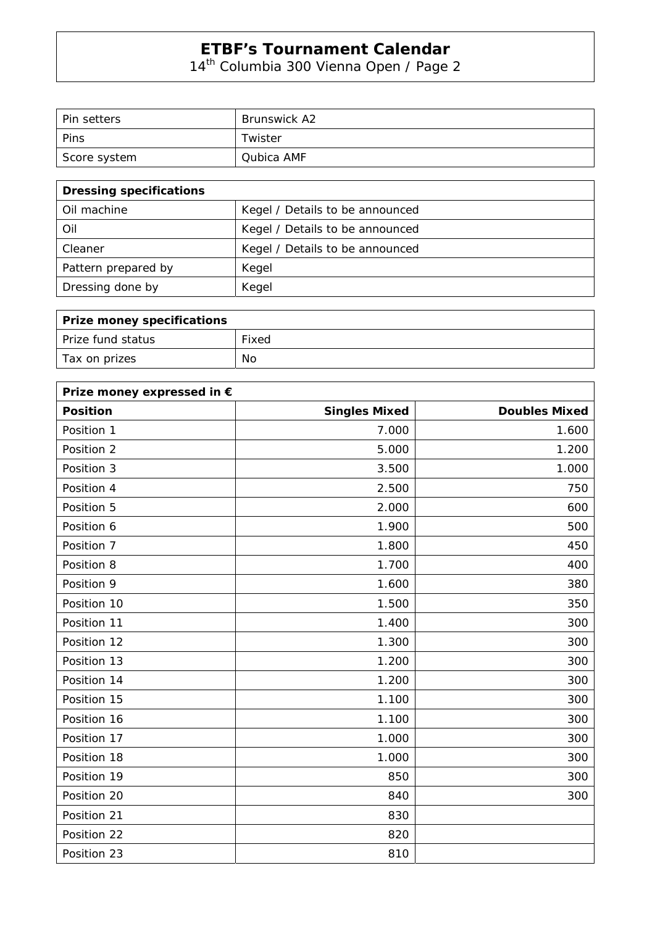14<sup>th</sup> Columbia 300 Vienna Open / Page 2

| l Pin setters | <b>Brunswick A2</b> |
|---------------|---------------------|
| Pins          | Twister             |
| Score system  | Qubica AMF          |

| <b>Dressing specifications</b> |                                 |  |
|--------------------------------|---------------------------------|--|
| Oil machine                    | Kegel / Details to be announced |  |
| Oil                            | Kegel / Details to be announced |  |
| Cleaner                        | Kegel / Details to be announced |  |
| Pattern prepared by            | Kegel                           |  |
| Dressing done by               | Kegel                           |  |

| <b>Prize money specifications</b> |       |
|-----------------------------------|-------|
| Prize fund status                 | Fixed |
| Tax on prizes                     | No    |

| Prize money expressed in € |                      |                      |
|----------------------------|----------------------|----------------------|
| <b>Position</b>            | <b>Singles Mixed</b> | <b>Doubles Mixed</b> |
| Position 1                 | 7.000                | 1.600                |
| Position 2                 | 5.000                | 1.200                |
| Position 3                 | 3.500                | 1.000                |
| Position 4                 | 2.500                | 750                  |
| Position 5                 | 2.000                | 600                  |
| Position 6                 | 1.900                | 500                  |
| Position 7                 | 1.800                | 450                  |
| Position 8                 | 1.700                | 400                  |
| Position 9                 | 1.600                | 380                  |
| Position 10                | 1.500                | 350                  |
| Position 11                | 1.400                | 300                  |
| Position 12                | 1.300                | 300                  |
| Position 13                | 1.200                | 300                  |
| Position 14                | 1.200                | 300                  |
| Position 15                | 1.100                | 300                  |
| Position 16                | 1.100                | 300                  |
| Position 17                | 1.000                | 300                  |
| Position 18                | 1.000                | 300                  |
| Position 19                | 850                  | 300                  |
| Position 20                | 840                  | 300                  |
| Position 21                | 830                  |                      |
| Position 22                | 820                  |                      |
| Position 23                | 810                  |                      |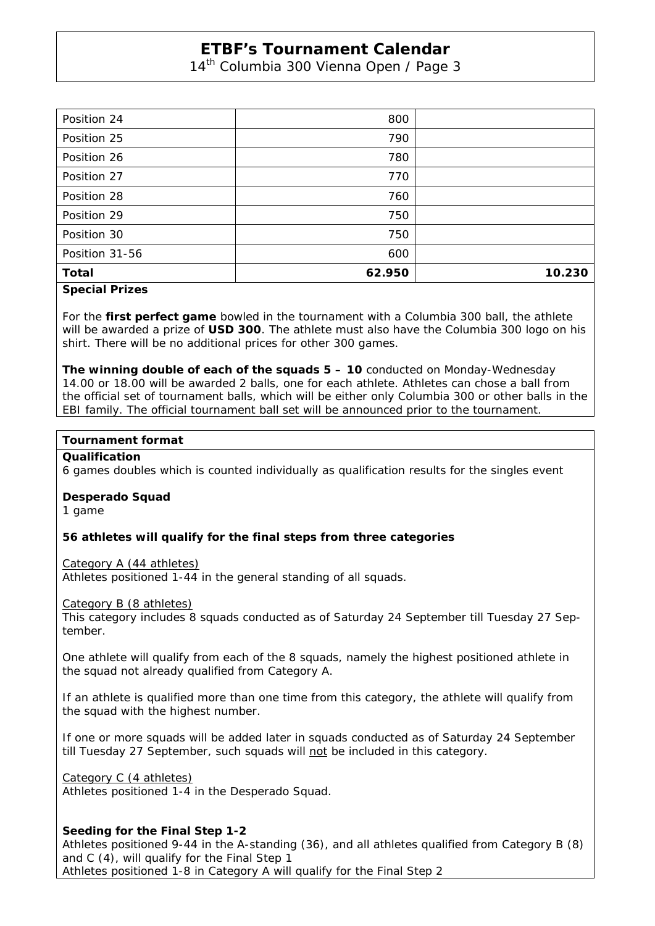14<sup>th</sup> Columbia 300 Vienna Open / Page 3

| Position 24    | 800    |        |
|----------------|--------|--------|
| Position 25    | 790    |        |
| Position 26    | 780    |        |
| Position 27    | 770    |        |
| Position 28    | 760    |        |
| Position 29    | 750    |        |
| Position 30    | 750    |        |
| Position 31-56 | 600    |        |
| <b>Total</b>   | 62.950 | 10.230 |

#### **Special Prizes**

For the **first perfect game** bowled in the tournament with a Columbia 300 ball, the athlete will be awarded a prize of **USD 300**. The athlete must also have the Columbia 300 logo on his shirt. There will be no additional prices for other 300 games.

**The winning double of each of the squads 5 – 10** conducted on Monday-Wednesday 14.00 or 18.00 will be awarded 2 balls, one for each athlete. Athletes can chose a ball from the official set of tournament balls, which will be either only Columbia 300 or other balls in the EBI family. The official tournament ball set will be announced prior to the tournament.

#### **Tournament format**

#### **Qualification**

6 games doubles which is counted individually as qualification results for the singles event

#### **Desperado Squad**

1 game

#### **56 athletes will qualify for the final steps from three categories**

Category A (44 athletes)

Athletes positioned 1-44 in the general standing of all squads.

Category B (8 athletes)

This category includes 8 squads conducted as of Saturday 24 September till Tuesday 27 September.

One athlete will qualify from each of the 8 squads, namely the highest positioned athlete in the squad not already qualified from Category A.

If an athlete is qualified more than one time from this category, the athlete will qualify from the squad with the highest number.

If one or more squads will be added later in squads conducted as of Saturday 24 September till Tuesday 27 September, such squads will not be included in this category.

Category C (4 athletes)

Athletes positioned 1-4 in the Desperado Squad.

#### **Seeding for the Final Step 1-2**

Athletes positioned 9-44 in the A-standing (36), and all athletes qualified from Category B (8) and C (4), will qualify for the Final Step 1 Athletes positioned 1-8 in Category A will qualify for the Final Step 2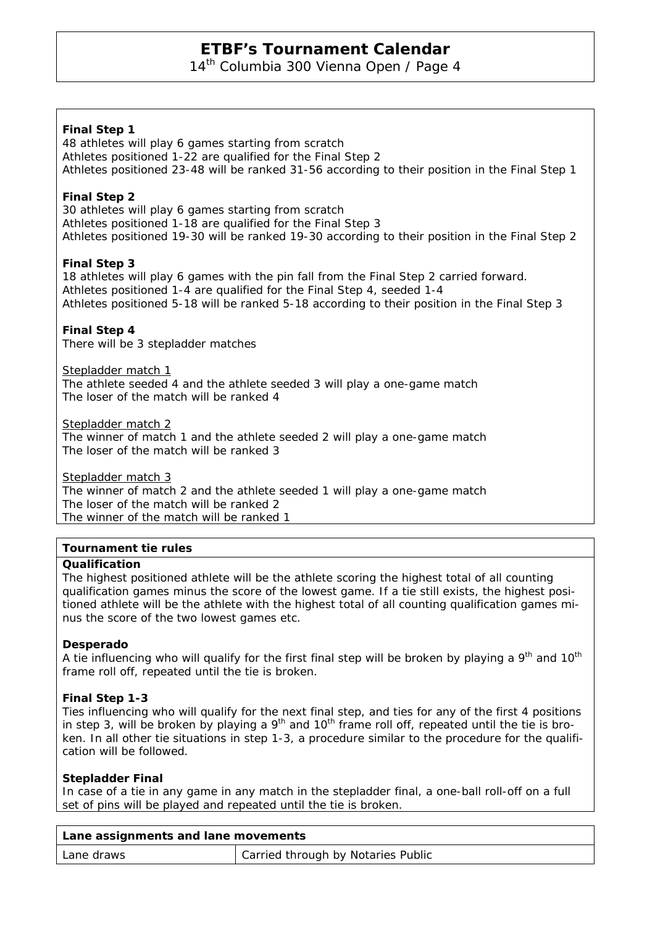14<sup>th</sup> Columbia 300 Vienna Open / Page 4

## **Final Step 1**

48 athletes will play 6 games starting from scratch Athletes positioned 1-22 are qualified for the Final Step 2 Athletes positioned 23-48 will be ranked 31-56 according to their position in the Final Step 1

## **Final Step 2**

30 athletes will play 6 games starting from scratch Athletes positioned 1-18 are qualified for the Final Step 3 Athletes positioned 19-30 will be ranked 19-30 according to their position in the Final Step 2

## **Final Step 3**

18 athletes will play 6 games with the pin fall from the Final Step 2 carried forward. Athletes positioned 1-4 are qualified for the Final Step 4, seeded 1-4 Athletes positioned 5-18 will be ranked 5-18 according to their position in the Final Step 3

#### **Final Step 4**

There will be 3 stepladder matches

Stepladder match 1

The athlete seeded 4 and the athlete seeded 3 will play a one-game match The loser of the match will be ranked 4

Stepladder match 2

The winner of match 1 and the athlete seeded 2 will play a one-game match The loser of the match will be ranked 3

Stepladder match 3 The winner of match 2 and the athlete seeded 1 will play a one-game match The loser of the match will be ranked 2 The winner of the match will be ranked 1

#### **Tournament tie rules**

#### **Qualification**

The highest positioned athlete will be the athlete scoring the highest total of all counting qualification games minus the score of the lowest game. If a tie still exists, the highest positioned athlete will be the athlete with the highest total of all counting qualification games minus the score of the two lowest games etc.

#### **Desperado**

A tie influencing who will qualify for the first final step will be broken by playing a  $9<sup>th</sup>$  and  $10<sup>th</sup>$ frame roll off, repeated until the tie is broken.

#### **Final Step 1-3**

Ties influencing who will qualify for the next final step, and ties for any of the first 4 positions in step 3, will be broken by playing a  $9<sup>th</sup>$  and 10<sup>th</sup> frame roll off, repeated until the tie is broken. In all other tie situations in step 1-3, a procedure similar to the procedure for the qualification will be followed.

#### **Stepladder Final**

In case of a tie in any game in any match in the stepladder final, a one-ball roll-off on a full set of pins will be played and repeated until the tie is broken.

| Lane assignments and lane movements |                                    |  |  |  |
|-------------------------------------|------------------------------------|--|--|--|
| Lane draws                          | Carried through by Notaries Public |  |  |  |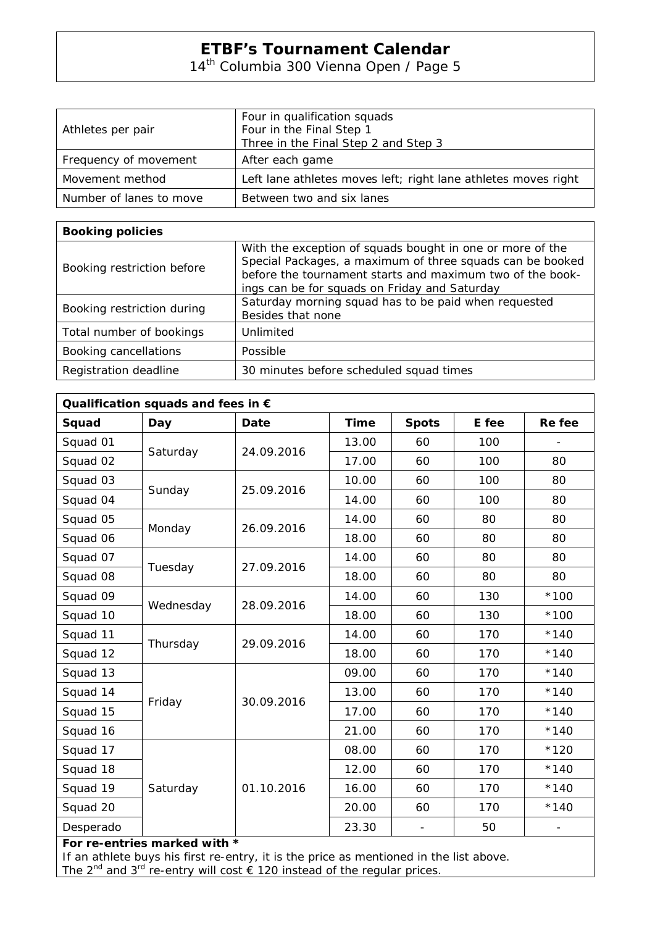14th Columbia 300 Vienna Open / Page 5

|                         | Four in qualification squads                                   |  |  |
|-------------------------|----------------------------------------------------------------|--|--|
| Athletes per pair       | Four in the Final Step 1                                       |  |  |
|                         | Three in the Final Step 2 and Step 3                           |  |  |
| Frequency of movement   | After each game                                                |  |  |
| Movement method         | Left lane athletes moves left; right lane athletes moves right |  |  |
| Number of lanes to move | Between two and six lanes                                      |  |  |

| <b>Booking policies</b>    |                                                                                                                                                                                                                                      |  |  |  |  |  |
|----------------------------|--------------------------------------------------------------------------------------------------------------------------------------------------------------------------------------------------------------------------------------|--|--|--|--|--|
| Booking restriction before | With the exception of squads bought in one or more of the<br>Special Packages, a maximum of three squads can be booked<br>before the tournament starts and maximum two of the book-<br>ings can be for squads on Friday and Saturday |  |  |  |  |  |
| Booking restriction during | Saturday morning squad has to be paid when requested<br>Besides that none                                                                                                                                                            |  |  |  |  |  |
| Total number of bookings   | Unlimited                                                                                                                                                                                                                            |  |  |  |  |  |
| Booking cancellations      | Possible                                                                                                                                                                                                                             |  |  |  |  |  |
| Registration deadline      | 30 minutes before scheduled squad times                                                                                                                                                                                              |  |  |  |  |  |

| Qualification squads and fees in € |           |             |             |              |       |        |  |  |
|------------------------------------|-----------|-------------|-------------|--------------|-------|--------|--|--|
| Squad                              | Day       | <b>Date</b> | <b>Time</b> | <b>Spots</b> | E fee | Re fee |  |  |
| Squad 01                           | Saturday  | 24.09.2016  | 13.00       | 60           | 100   |        |  |  |
| Squad 02                           |           |             | 17.00       | 60           | 100   | 80     |  |  |
| Squad 03                           | Sunday    | 25.09.2016  | 10.00       | 60           | 100   | 80     |  |  |
| Squad 04                           |           |             | 14.00       | 60           | 100   | 80     |  |  |
| Squad 05                           | Monday    | 26.09.2016  | 14.00       | 60           | 80    | 80     |  |  |
| Squad 06                           |           |             | 18.00       | 60           | 80    | 80     |  |  |
| Squad 07                           | Tuesday   | 27.09.2016  | 14.00       | 60           | 80    | 80     |  |  |
| Squad 08                           |           |             | 18.00       | 60           | 80    | 80     |  |  |
| Squad 09                           | Wednesday | 28.09.2016  | 14.00       | 60           | 130   | $*100$ |  |  |
| Squad 10                           |           |             | 18.00       | 60           | 130   | $*100$ |  |  |
| Squad 11                           | Thursday  | 29.09.2016  | 14.00       | 60           | 170   | $*140$ |  |  |
| Squad 12                           |           |             | 18.00       | 60           | 170   | $*140$ |  |  |
| Squad 13                           | Friday    | 30.09.2016  | 09.00       | 60           | 170   | $*140$ |  |  |
| Squad 14                           |           |             | 13.00       | 60           | 170   | $*140$ |  |  |
| Squad 15                           |           |             | 17.00       | 60           | 170   | $*140$ |  |  |
| Squad 16                           |           |             | 21.00       | 60           | 170   | $*140$ |  |  |
| Squad 17                           | Saturday  | 01.10.2016  | 08.00       | 60           | 170   | $*120$ |  |  |
| Squad 18                           |           |             | 12.00       | 60           | 170   | $*140$ |  |  |
| Squad 19                           |           |             | 16.00       | 60           | 170   | $*140$ |  |  |
| Squad 20                           |           |             | 20.00       | 60           | 170   | $*140$ |  |  |
| Desperado                          |           |             | 23.30       |              | 50    |        |  |  |
| For re-entries marked with *       |           |             |             |              |       |        |  |  |

If an athlete buys his first re-entry, it is the price as mentioned in the list above.

The 2<sup>nd</sup> and 3<sup>rd</sup> re-entry will cost  $\epsilon$  120 instead of the regular prices.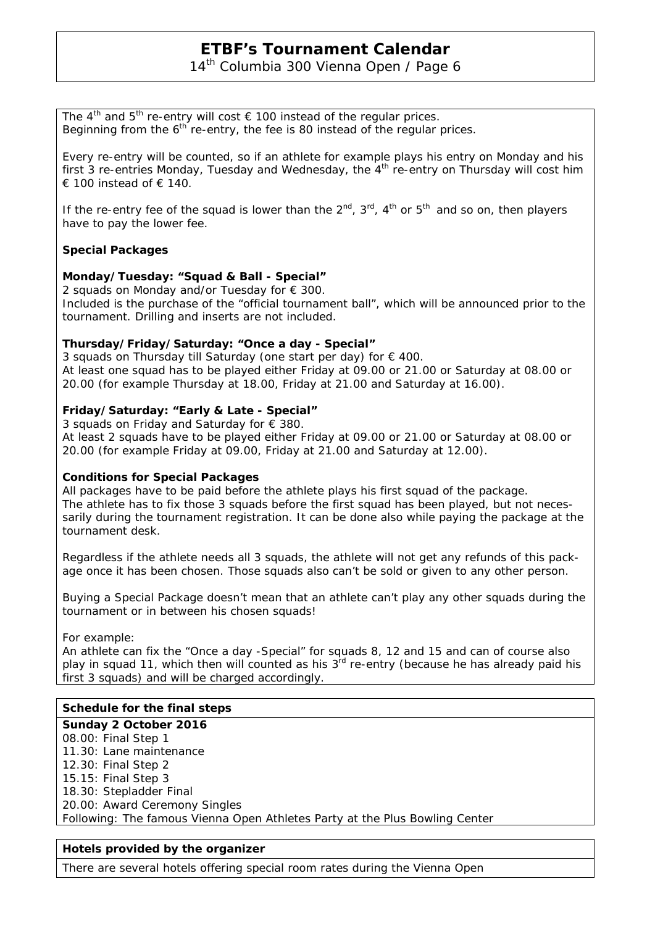14<sup>th</sup> Columbia 300 Vienna Open / Page 6

The 4<sup>th</sup> and 5<sup>th</sup> re-entry will cost  $\epsilon$  100 instead of the regular prices. Beginning from the  $6<sup>th</sup>$  re-entry, the fee is 80 instead of the regular prices.

Every re-entry will be counted, so if an athlete for example plays his entry on Monday and his first 3 re-entries Monday, Tuesday and Wednesday, the  $4<sup>th</sup>$  re-entry on Thursday will cost him € 100 instead of  $∈$  140.

If the re-entry fee of the squad is lower than the  $2^{nd}$ ,  $3^{rd}$ ,  $4^{th}$  or  $5^{th}$  and so on, then players have to pay the lower fee.

#### **Special Packages**

#### **Monday/Tuesday: "Squad & Ball - Special"**

2 squads on Monday and/or Tuesday for  $\epsilon$  300. Included is the purchase of the "official tournament ball", which will be announced prior to the tournament. Drilling and inserts are not included.

#### **Thursday/Friday/Saturday: "Once a day - Special"**

3 squads on Thursday till Saturday (one start per day) for € 400. At least one squad has to be played either Friday at 09.00 or 21.00 or Saturday at 08.00 or 20.00 (for example Thursday at 18.00, Friday at 21.00 and Saturday at 16.00).

#### **Friday/Saturday: "Early & Late - Special"**

3 squads on Friday and Saturday for € 380.

At least 2 squads have to be played either Friday at 09.00 or 21.00 or Saturday at 08.00 or 20.00 (for example Friday at 09.00, Friday at 21.00 and Saturday at 12.00).

#### **Conditions for Special Packages**

All packages have to be paid before the athlete plays his first squad of the package. The athlete has to fix those 3 squads before the first squad has been played, but not necessarily during the tournament registration. It can be done also while paying the package at the tournament desk.

Regardless if the athlete needs all 3 squads, the athlete will not get any refunds of this package once it has been chosen. Those squads also can't be sold or given to any other person.

Buying a Special Package doesn't mean that an athlete can't play any other squads during the tournament or in between his chosen squads!

For example:

An athlete can fix the "Once a day -Special" for squads 8, 12 and 15 and can of course also play in squad 11, which then will counted as his  $3<sup>rd</sup>$  re-entry (because he has already paid his first 3 squads) and will be charged accordingly.

## **Schedule for the final steps**

**Sunday 2 October 2016** 08.00: Final Step 1 11.30: Lane maintenance 12.30: Final Step 2 15.15: Final Step 3 18.30: Stepladder Final 20.00: Award Ceremony Singles *Following: The famous Vienna Open Athletes Party at the Plus Bowling Center*

## **Hotels provided by the organizer**

There are several hotels offering special room rates during the Vienna Open